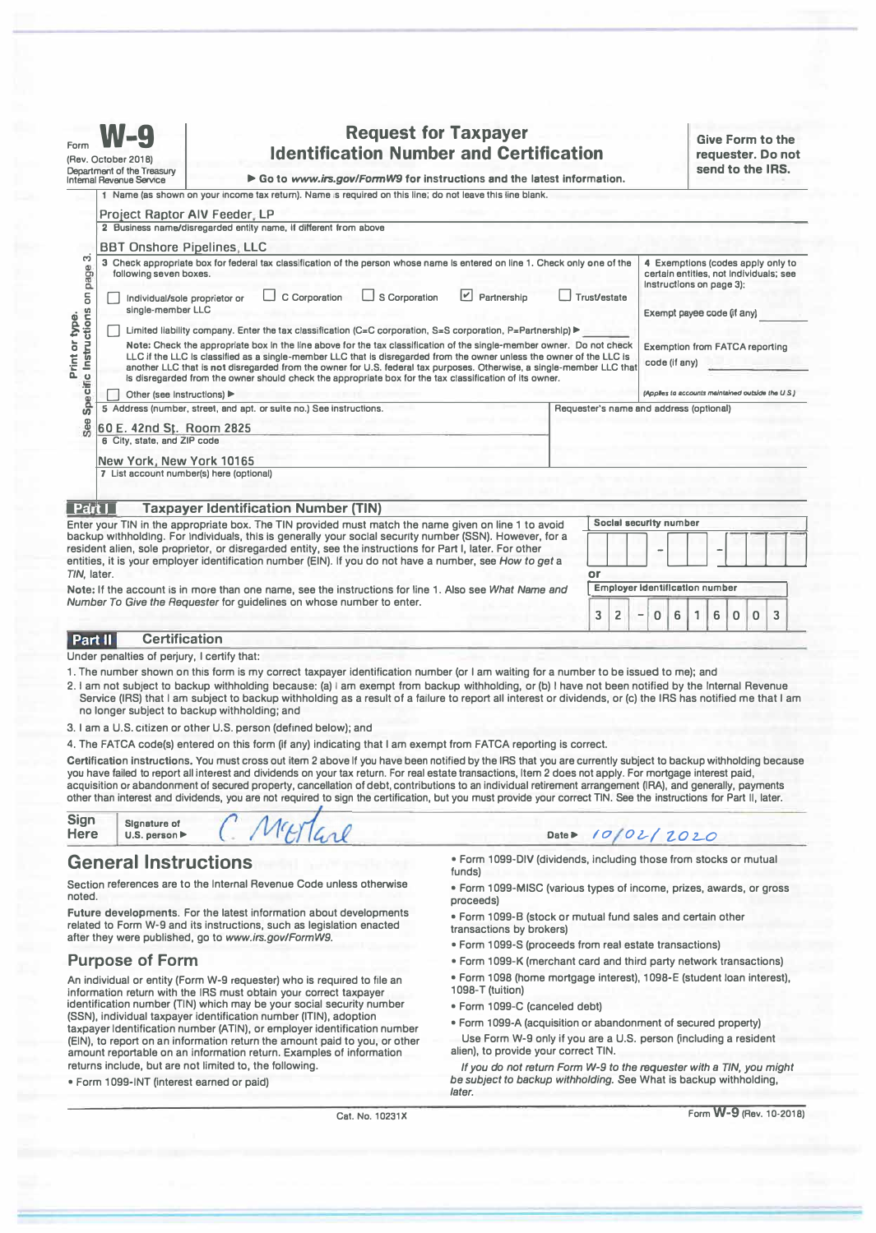| <b>Request for Taxpayer</b><br>Form<br><b>Identification Number and Certification</b><br>(Rev. October 2018)<br>Department of the Treasury<br>Go to www.irs.gov/FormW9 for instructions and the latest information.<br><b>Internal Revenue Service</b> |                                                                                                                                                                                                                                                                                                                                                                                                                                                                                                                  |                                                                                                                                                      |                                                                       |                                                                                                                                                                                                                       |  |  |                                                                                                             |                                                                             | <b>Give Form to the</b><br>requester. Do not<br>send to the IRS. |                                         |        |  |               |   |
|--------------------------------------------------------------------------------------------------------------------------------------------------------------------------------------------------------------------------------------------------------|------------------------------------------------------------------------------------------------------------------------------------------------------------------------------------------------------------------------------------------------------------------------------------------------------------------------------------------------------------------------------------------------------------------------------------------------------------------------------------------------------------------|------------------------------------------------------------------------------------------------------------------------------------------------------|-----------------------------------------------------------------------|-----------------------------------------------------------------------------------------------------------------------------------------------------------------------------------------------------------------------|--|--|-------------------------------------------------------------------------------------------------------------|-----------------------------------------------------------------------------|------------------------------------------------------------------|-----------------------------------------|--------|--|---------------|---|
|                                                                                                                                                                                                                                                        |                                                                                                                                                                                                                                                                                                                                                                                                                                                                                                                  |                                                                                                                                                      |                                                                       | 1 Name (as shown on your income tax return). Name is required on this line; do not leave this line blank.                                                                                                             |  |  |                                                                                                             |                                                                             |                                                                  |                                         |        |  |               |   |
|                                                                                                                                                                                                                                                        | <b>Project Raptor AIV Feeder, LP</b>                                                                                                                                                                                                                                                                                                                                                                                                                                                                             |                                                                                                                                                      |                                                                       |                                                                                                                                                                                                                       |  |  |                                                                                                             |                                                                             |                                                                  |                                         |        |  |               |   |
|                                                                                                                                                                                                                                                        |                                                                                                                                                                                                                                                                                                                                                                                                                                                                                                                  |                                                                                                                                                      | 2 Business name/disregarded entity name, if different from above      |                                                                                                                                                                                                                       |  |  |                                                                                                             |                                                                             |                                                                  |                                         |        |  |               |   |
|                                                                                                                                                                                                                                                        |                                                                                                                                                                                                                                                                                                                                                                                                                                                                                                                  |                                                                                                                                                      |                                                                       |                                                                                                                                                                                                                       |  |  |                                                                                                             |                                                                             |                                                                  |                                         |        |  |               |   |
| ຕ                                                                                                                                                                                                                                                      | <b>BBT Onshore Pipelines, LLC</b><br>3 Check appropriate box for federal tax classification of the person whose name is entered on line 1. Check only one of the<br>following seven boxes.                                                                                                                                                                                                                                                                                                                       |                                                                                                                                                      |                                                                       |                                                                                                                                                                                                                       |  |  |                                                                                                             | 4 Exemptions (codes apply only to<br>certain entities, not Individuals; see |                                                                  |                                         |        |  |               |   |
| on page                                                                                                                                                                                                                                                |                                                                                                                                                                                                                                                                                                                                                                                                                                                                                                                  | $ \mathcal{V} $<br>C Corporation<br>$\Box$ S Corporation<br>Partnership<br><b>Trust/estate</b><br>Individual/sole proprietor or<br>single-member LLC |                                                                       |                                                                                                                                                                                                                       |  |  |                                                                                                             | Instructions on page 3);<br>Exempt payee code (if any)                      |                                                                  |                                         |        |  |               |   |
|                                                                                                                                                                                                                                                        | Limited liability company. Enter the tax classification (C=C corporation, S=S corporation, P=Partnershlp) ▶                                                                                                                                                                                                                                                                                                                                                                                                      |                                                                                                                                                      |                                                                       |                                                                                                                                                                                                                       |  |  |                                                                                                             |                                                                             |                                                                  |                                         |        |  |               |   |
| <b>Specific Instructions</b><br>Print or type.                                                                                                                                                                                                         | Note: Check the appropriate box in the line above for the tax classification of the single-member owner. Do not check<br>LLC if the LLC Is classified as a single-member LLC that is disregarded from the owner unless the owner of the LLC is<br>another LLC that is not disregarded from the owner for U.S. federal tax purposes. Otherwise, a single-member LLC that<br>is disregarded from the owner should check the appropriate box for the tax classification of its owner.<br>Other (see Instructions) ▶ |                                                                                                                                                      |                                                                       |                                                                                                                                                                                                                       |  |  | <b>Exemption from FATCA reporting</b><br>code (if any)<br>(Applies to accounts maintained outside the U.S.) |                                                                             |                                                                  |                                         |        |  |               |   |
|                                                                                                                                                                                                                                                        |                                                                                                                                                                                                                                                                                                                                                                                                                                                                                                                  |                                                                                                                                                      | 5 Address (number, street, and apt. or suite no.) See instructions.   |                                                                                                                                                                                                                       |  |  |                                                                                                             |                                                                             |                                                                  | Requester's name and address (optional) |        |  |               |   |
| See                                                                                                                                                                                                                                                    | 60 E. 42nd St. Room 2825                                                                                                                                                                                                                                                                                                                                                                                                                                                                                         |                                                                                                                                                      |                                                                       |                                                                                                                                                                                                                       |  |  |                                                                                                             |                                                                             |                                                                  |                                         |        |  |               |   |
|                                                                                                                                                                                                                                                        | 6 City, state, and ZIP code                                                                                                                                                                                                                                                                                                                                                                                                                                                                                      |                                                                                                                                                      |                                                                       |                                                                                                                                                                                                                       |  |  |                                                                                                             |                                                                             |                                                                  |                                         |        |  |               |   |
|                                                                                                                                                                                                                                                        | New York; New York 10165                                                                                                                                                                                                                                                                                                                                                                                                                                                                                         |                                                                                                                                                      |                                                                       |                                                                                                                                                                                                                       |  |  |                                                                                                             |                                                                             |                                                                  |                                         |        |  |               |   |
|                                                                                                                                                                                                                                                        | 7 List account number(s) here (optional)                                                                                                                                                                                                                                                                                                                                                                                                                                                                         |                                                                                                                                                      |                                                                       |                                                                                                                                                                                                                       |  |  |                                                                                                             |                                                                             |                                                                  |                                         |        |  |               |   |
|                                                                                                                                                                                                                                                        |                                                                                                                                                                                                                                                                                                                                                                                                                                                                                                                  |                                                                                                                                                      |                                                                       |                                                                                                                                                                                                                       |  |  |                                                                                                             |                                                                             |                                                                  |                                         |        |  |               |   |
| Part                                                                                                                                                                                                                                                   |                                                                                                                                                                                                                                                                                                                                                                                                                                                                                                                  |                                                                                                                                                      | <b>Taxpayer Identification Number (TIN)</b>                           |                                                                                                                                                                                                                       |  |  |                                                                                                             |                                                                             |                                                                  |                                         |        |  |               |   |
|                                                                                                                                                                                                                                                        |                                                                                                                                                                                                                                                                                                                                                                                                                                                                                                                  |                                                                                                                                                      |                                                                       | Enter your TIN in the appropriate box. The TIN provided must match the name given on line 1 to avoid                                                                                                                  |  |  |                                                                                                             |                                                                             |                                                                  | Social security number                  |        |  |               |   |
|                                                                                                                                                                                                                                                        |                                                                                                                                                                                                                                                                                                                                                                                                                                                                                                                  |                                                                                                                                                      |                                                                       | backup withholding. For individuals, this is generally your social security number (SSN). However, for a                                                                                                              |  |  |                                                                                                             |                                                                             |                                                                  |                                         |        |  |               |   |
|                                                                                                                                                                                                                                                        |                                                                                                                                                                                                                                                                                                                                                                                                                                                                                                                  |                                                                                                                                                      |                                                                       | resident alien, sole proprietor, or disregarded entity, see the instructions for Part I, later. For other<br>entities, it is your employer identification number (EIN). If you do not have a number, see How to get a |  |  |                                                                                                             |                                                                             |                                                                  |                                         |        |  |               |   |
| TIN, later.                                                                                                                                                                                                                                            |                                                                                                                                                                                                                                                                                                                                                                                                                                                                                                                  |                                                                                                                                                      |                                                                       |                                                                                                                                                                                                                       |  |  | or                                                                                                          |                                                                             |                                                                  |                                         |        |  |               |   |
|                                                                                                                                                                                                                                                        |                                                                                                                                                                                                                                                                                                                                                                                                                                                                                                                  |                                                                                                                                                      |                                                                       | Note: If the account is in more than one name, see the instructions for line 1. Also see What Name and                                                                                                                |  |  |                                                                                                             |                                                                             |                                                                  | Employer Identification number          |        |  |               |   |
|                                                                                                                                                                                                                                                        |                                                                                                                                                                                                                                                                                                                                                                                                                                                                                                                  |                                                                                                                                                      | Number To Give the Requester for guidelines on whose number to enter. |                                                                                                                                                                                                                       |  |  | 3                                                                                                           | 2                                                                           | 0<br>-                                                           | 6                                       | 1<br>6 |  | $\Omega$<br>0 | 3 |
|                                                                                                                                                                                                                                                        |                                                                                                                                                                                                                                                                                                                                                                                                                                                                                                                  |                                                                                                                                                      |                                                                       |                                                                                                                                                                                                                       |  |  |                                                                                                             |                                                                             |                                                                  |                                         |        |  |               |   |

**Under penalties of perjury, I certify that:** 

- **1. The number shown on this form is my correct taxpayer identification number (or I am waiting for a number to be issued to me); and**
- **2. I am not subJect to backup withholding because: (a) I am exempt from backup withholding, or (b) I have not been notified by the Internal Revenue Service (IRS) that I am subject to backup withholding as a result of a failure to report all interest or dividends, or (c) the IRS has notified me that I am no longer subject to backup withholding; and**
- **3. I am a U.S. citizen or other U.S. person (defined below); and**
- 4. The FATCA code(s) entered on this form (if any) indicating that I am exempt from FATCA reporting is correct.

**Certification Instructions. You must cross out item 2 above If you have been notified by the IRS that you are currently subject to backup withholding because you have failed to report all interest and dividends on your tax return. For real estate transactions, Item 2 does not apply. For mortgage interest paid, acquisition or abandonment of secured property, cancellation of debt, contributions to an individual retirement arrangement (IRA), and generally, payments other than interest and dividends, you are not required to sign the certification, but you must provide your correct TIN. See the instructions for Part 11, later.** 

| Sign | Slanature of                      |  | Ma |  |
|------|-----------------------------------|--|----|--|
| Here | U.S. person $\blacktriangleright$ |  |    |  |

## **General Instructions**

**Section references are to the Internal Revenue Code unless otherwise noted.** 

**Future developments. For the latest information about developments related to Form W-9 and its instructions, such as legislation enacted after they were published, go to** *www.irs.gov/FormW9.* 

## **Purpose of Form**

**An individual or entity (Form W-9 requester) who is required to file an information return with the IRS must obtain your correct taxpayer identification number (TIN) which may be your social security number (SSN), individual taxpayer identification number (ITIN), adoption taxpayer Identification number (ATIN), or employer identification number (EIN), to report on an information return the amount paid to you, or other amount reportable on an information return. Examples of information returns include, but are not limited to, the following.** 

**• Form 1099-INT (interest earned or paid)** 

**• Form 1099-DIV (dividends, including those from stocks or mutual funds)** 

Date▶ /*0 / 0 2 / 20 20* 

- **Form 1099-MISC (various types of income, prizes, awards, or gross proceeds)**
- **Form 1099-8 (stock or mutual fund sales and certain other transactions by brokers)**
- **Form 1099-S (proceeds from real estate transactions)**
- **Form 1099-K (merchant card and third party network transactions)**
- **Form 1098 (home mortgage interest), 1098-E (student loan interest), 1098-T (tuition)**
- **Form 1 099-C (canceled debt)**
- **Form 1099-A (acquisition or abandonment of secured property)**

Use Form W-9 only if you are a U.S. person (including a resident **alien), to provide your correct TIN.** 

*If you do not return Form W-9 to the requester with a TIN, you might be subject to backup withholding.* **See What is backup withholding,**  *later.* 

**Cat. No. 10231X** 

**Form W-9 (Rev. 10-2018)**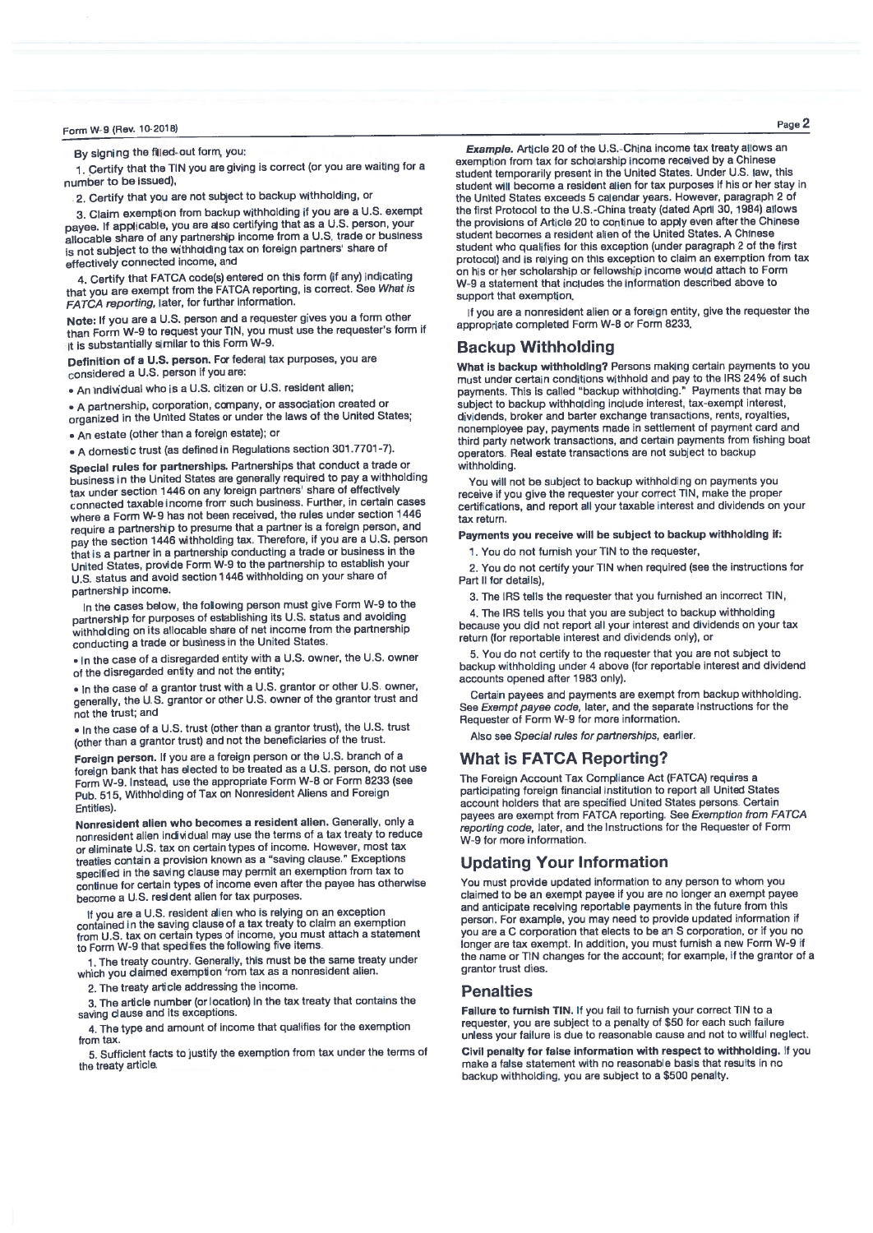By signing the filled-out form, you:

1. Certify that the TIN you are giving is correct (or you are waiting for a number to be issued)

2. Certify that you are not subject to backup withholding, or

3. Claim exemption from backup withholding if you are a U.S. exempt payee. If applicable, you are also certifying that as a U.S. person, your<br>allocable share of any partnership income from a U.S. trade or business is not subject to the withholding tax on foreign partners' share of effectively connected income, and

4. Certify that FATCA code(s) entered on this form (if any) indicating that you are exempt from the FATCA reporting, is correct. See What is FATCA reporting, later, for further information.

Note: If you are a U.S. person and a requester gives you a form other than Form W-9 to request your TIN, you must use the requester's form if it is substantially similar to this Form W-9.

Definition of a U.S. person. For federal tax purposes, you are considered a U.S. person if you are:

. An individual who is a U.S. citizen or U.S. resident alien:

• A partnership, corporation, company, or association created or organized in the United States or under the laws of the United States:

• An estate (other than a foreign estate); or

- A domestic trust (as defined in Regulations section 301.7701-7).

Special rules for partnerships. Partnerships that conduct a trade or business in the United States are generally required to pay a withholding tax under section 1446 on any foreign partners' share of effectively connected taxable income from such business. Further, in certain cases where a Form W-9 has not been received, the rules under section 1446 require a partnership to presume that a partner is a foreign person, and pay the section 1446 withholding tax. Therefore, if you are a U.S. person that is a partner in a partnership conducting a trade or business in the United States, provide Form W-9 to the partnership to establish your U.S. status and avoid section 1446 withholding on your share of partnership income

In the cases below, the following person must give Form W-9 to the partnership for purposes of establishing its U.S. status and avoiding withholding on its allocable share of net income from the partnership conducting a trade or business in the United States

. In the case of a disregarded entity with a U.S. owner, the U.S. owner of the disregarded entity and not the entity;

. In the case of a grantor trust with a U.S. grantor or other U.S. owner, generally, the U.S. grantor or other U.S. owner of the grantor trust and not the trust: and

. In the case of a U.S. trust (other than a grantor trust), the U.S. trust (other than a grantor trust) and not the beneficiaries of the trust.

Foreign person. If you are a foreign person or the U.S. branch of a foreign bank that has elected to be treated as a U.S. person, do not use Form W-9. Instead, use the appropriate Form W-8 or Form 8233 (see Pub. 515, Withholding of Tax on Nonresident Aliens and Foreign **Entities** 

Nonresident alien who becomes a resident alien. Generally, only a nonresident alien individual may use the terms of a tax treaty to reduce or eliminate U.S. tax on certain types of income. However, most tax treaties contain a provision known as a "saving clause." Exceptions specified in the saving clause may permit an exemption from tax to continue for certain types of income even after the payee has otherwise become a U.S. resident alien for tax purposes

If you are a U.S. resident allen who is relying on an exception contained in the saving clause of a tax treaty to claim an exemption<br>from U.S. tax on certain types of income, you must attach a statement<br>to Form W-9 that specifies the following five items.

1. The treaty country. Generally, this must be the same treaty under which you claimed exemption from tax as a nonresident alien.

2. The treaty article addressing the income

3. The article number (or location) in the tax treaty that contains the saving clause and its exceptions.

4. The type and amount of income that qualifies for the exemption from tax.

5. Sufficient facts to justify the exemption from tax under the terms of the treaty article.

Example. Article 20 of the U.S.-China income tax treaty allows an exemption from tax for scholarship income received by a Chinese student temporarily present in the United States. Under U.S. law, this student will become a resident alien for tax purposes if his or her stay in the United States exceeds 5 calendar years. However, paragraph 2 of the first Protocol to the U.S.-China treaty (dated April 30, 1984) allows the provisions of Article 20 to continue to apply even after the Chinese student becomes a resident alien of the United States. A Chinese student who qualifies for this exception (under paragraph 2 of the first protocol) and is relying on this exception to claim an exemption from tax on his or her scholarship or fellowship income would attach to Form W-9 a statement that includes the information described above to support that exemption.

If you are a nonresident alien or a foreign entity, give the requester the appropriate completed Form W-8 or Form 8233.

## **Backup Withholding**

What is backup withholding? Persons making certain payments to you must under certain conditions withhold and pay to the IRS 24% of such payments. This is called "backup withholding." Payments that may be subject to backup withholding include interest, tax-exempt interest, dividends, broker and barter exchange transactions, rents, royalties, nonemployee pay, payments made in settlement of payment card and third party network transactions, and certain payments from fishing boat operators. Real estate transactions are not subject to backup withholding

You will not be subject to backup withholding on payments you receive if you give the requester your correct TIN, make the proper certifications, and report all your taxable interest and dividends on your tax return

Payments you receive will be subject to backup withholding if:

1. You do not furnish your TIN to the requester,

2. You do not certify your TIN when required (see the instructions for Part II for details),

3. The IRS tells the requester that you furnished an incorrect TIN,

4. The IRS tells you that you are subject to backup withholding because you did not report all your interest and dividends on your tax return (for reportable interest and dividends only), or

5. You do not certify to the requester that you are not subject to backup withholding under 4 above (for reportable interest and dividend accounts opened after 1983 only).

Certain payees and payments are exempt from backup withholding. See Exempt payee code, later, and the separate Instructions for the Requester of Form W-9 for more information.

Also see Special rules for partnerships, earlier.

## **What is FATCA Reporting?**

The Foreign Account Tax Compliance Act (FATCA) requires a participating foreign financial institution to report all United States account holders that are specified United States persons. Certain payees are exempt from FATCA reporting. See Exemption from FATCA reporting code, later, and the Instructions for the Requester of Form W-9 for more information.

## **Updating Your Information**

You must provide updated information to any person to whom you claimed to be an exempt payee if you are no longer an exempt payee and anticipate receiving reportable payments in the future from this person. For example, you may need to provide updated information if you are a C corporation that elects to be an S corporation, or if you no longer are tax exempt. In addition, you must furnish a new Form W-9 if the name or TIN changes for the account; for example, if the grantor of a grantor trust dies.

### **Penalties**

Failure to furnish TIN. If you fail to furnish your correct TIN to a requester, you are subject to a penalty of \$50 for each such failure unless your failure is due to reasonable cause and not to willful neglect.

Civil penalty for false information with respect to withholding. If you make a false statement with no reasonable basis that results in no backup withholding, you are subject to a \$500 penalty.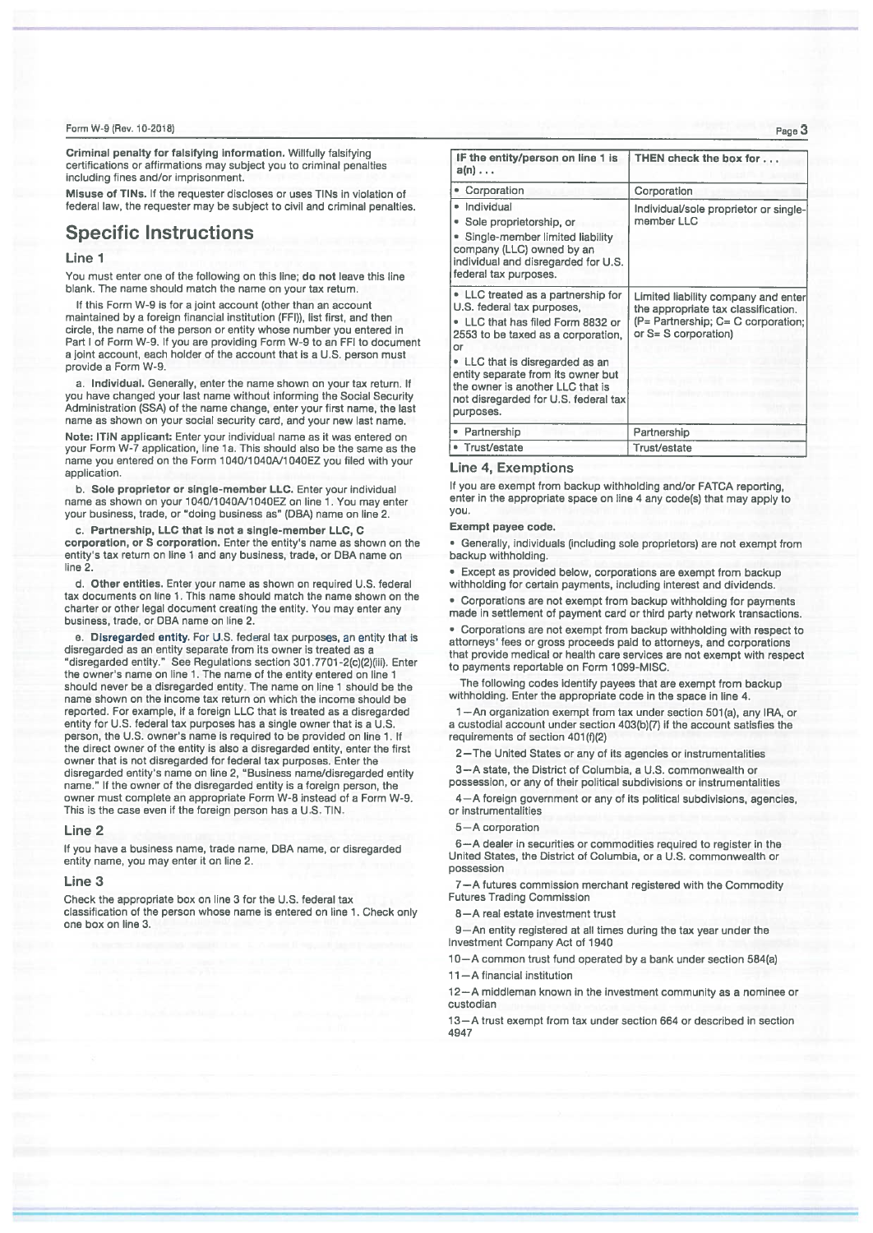Criminal penalty for falsifying information. Willfully falsifying certifications or affirmations may subject you to criminal penalties including fines and/or imprisonment.

Misuse of TINs. If the requester discloses or uses TINs in violation of federal law, the requester may be subject to civil and criminal penalties.

# **Specific Instructions**

#### Line<sub>1</sub>

You must enter one of the following on this line; do not leave this line blank. The name should match the name on your tax return.

If this Form W-9 is for a joint account (other than an account maintained by a foreign financial institution (FFI)), list first, and then circle, the name of the person or entity whose number you entered in Part I of Form W-9. If you are providing Form W-9 to an FFI to document a joint account, each holder of the account that is a U.S. person must provide a Form W-9.

a. Individual, Generally, enter the name shown on your tax return. If you have changed your last name without informing the Social Security Administration (SSA) of the name change, enter your first name, the last name as shown on your social security card, and your new last name.

Note: ITIN applicant: Enter your individual name as it was entered on your Form W-7 application, line 1a. This should also be the same as the name you entered on the Form 1040/1040A/1040EZ you filed with your application.

b. Sole proprietor or single-member LLC. Enter your individual name as shown on your 1040/1040A/1040EZ on line 1. You may enter your business, trade, or "doing business as" (DBA) name on line 2.

c. Partnership, LLC that is not a single-member LLC, C corporation, or S corporation. Enter the entity's name as shown on the entity's tax return on line 1 and any business, trade, or DBA name on line 2.

d. Other entities. Enter your name as shown on required U.S. federal tax documents on line 1. This name should match the name shown on the charter or other legal document creating the entity. You may enter any business, trade, or DBA name on line 2.

e. Disregarded entity. For U.S. federal tax purposes, an entity that is disregarded as an entity separate from its owner is treated as a "disregarded entity." See Regulations section 301.7701-2(c)(2)(iii). Enter the owner's name on line 1. The name of the entity entered on line 1 should never be a disregarded entity. The name on line 1 should be the name shown on the income tax return on which the income should be reported. For example, if a foreign LLC that is treated as a disregarded entity for U.S. federal tax purposes has a single owner that is a U.S. person, the U.S. owner's name is required to be provided on line 1. If the direct owner of the entity is also a disregarded entity, enter the first owner that is not disregarded for federal tax purposes. Enter the disregarded entity's name on line 2, "Business name/disregarded entity name." If the owner of the disregarded entity is a foreign person, the owner must complete an appropriate Form W-8 instead of a Form W-9. This is the case even if the foreign person has a U.S. TIN.

#### Line 2

If you have a business name, trade name, DBA name, or disregarded entity name, you may enter it on line 2.

#### Line 3

Check the appropriate box on line 3 for the U.S. federal tax classification of the person whose name is entered on line 1. Check only one box on line 3.

| IF the entity/person on line 1 is<br>$a(n) \ldots$                                                                                                                                                                                                                                                                  | THEN check the box for                                                                                                                         |  |  |  |
|---------------------------------------------------------------------------------------------------------------------------------------------------------------------------------------------------------------------------------------------------------------------------------------------------------------------|------------------------------------------------------------------------------------------------------------------------------------------------|--|--|--|
| • Corporation                                                                                                                                                                                                                                                                                                       | Corporation                                                                                                                                    |  |  |  |
| • Individual<br>Sole proprietorship, or<br>Single-member limited liability<br>company (LLC) owned by an<br>individual and disregarded for U.S.<br>federal tax purposes.                                                                                                                                             | Individual/sole proprietor or single-<br>member LLC                                                                                            |  |  |  |
| • LLC treated as a partnership for<br>U.S. federal tax purposes,<br>• LLC that has filed Form 8832 or<br>2553 to be taxed as a corporation.<br>Ωr<br>• LLC that is disregarded as an<br>entity separate from its owner but<br>the owner is another LLC that is<br>not disregarded for U.S. federal tax<br>purposes. | Limited liability company and enter<br>the appropriate tax classification.<br>$(P =$ Partnership; $C = C$ corporation:<br>or S= S corporation) |  |  |  |
| • Partnership                                                                                                                                                                                                                                                                                                       | Partnership                                                                                                                                    |  |  |  |
| • Trust/estate                                                                                                                                                                                                                                                                                                      | Trust/estate                                                                                                                                   |  |  |  |

### **Line 4, Exemptions**

If you are exempt from backup withholding and/or FATCA reporting, enter in the appropriate space on line 4 any code(s) that may apply to vou.

#### Exempt payee code.

· Generally, individuals (including sole proprietors) are not exempt from backup withholding

**Except as provided below, corporations are exempt from backup** withholding for certain payments, including interest and dividends.

• Corporations are not exempt from backup withholding for payments made in settlement of payment card or third party network transactions.

• Corporations are not exempt from backup withholding with respect to attorneys' fees or gross proceeds paid to attorneys, and corporations that provide medical or health care services are not exempt with respect to payments reportable on Form 1099-MISC.

The following codes identify payees that are exempt from backup withholding. Enter the appropriate code in the space in line 4.

1-An organization exempt from tax under section 501(a), any IRA, or a custodial account under section 403(b)(7) if the account satisfies the requirements of section 401(f)(2)

2-The United States or any of its agencies or instrumentalities

3-A state, the District of Columbia, a U.S. commonwealth or possession, or any of their political subdivisions or instrumentalities

4-A foreign government or any of its political subdivisions, agencies, or instrumentalities

#### 5-A corporation

6-A dealer in securities or commodities required to register in the United States, the District of Columbia, or a U.S. commonwealth or possession

7-A futures commission merchant registered with the Commodity **Futures Trading Commission** 

8-A real estate investment trust

9-An entity registered at all times during the tax year under the Investment Company Act of 1940

10-A common trust fund operated by a bank under section 584(a)

11-A financial institution

12-A middleman known in the investment community as a nominee or custodian

13-A trust exempt from tax under section 664 or described in section 4947

Page 3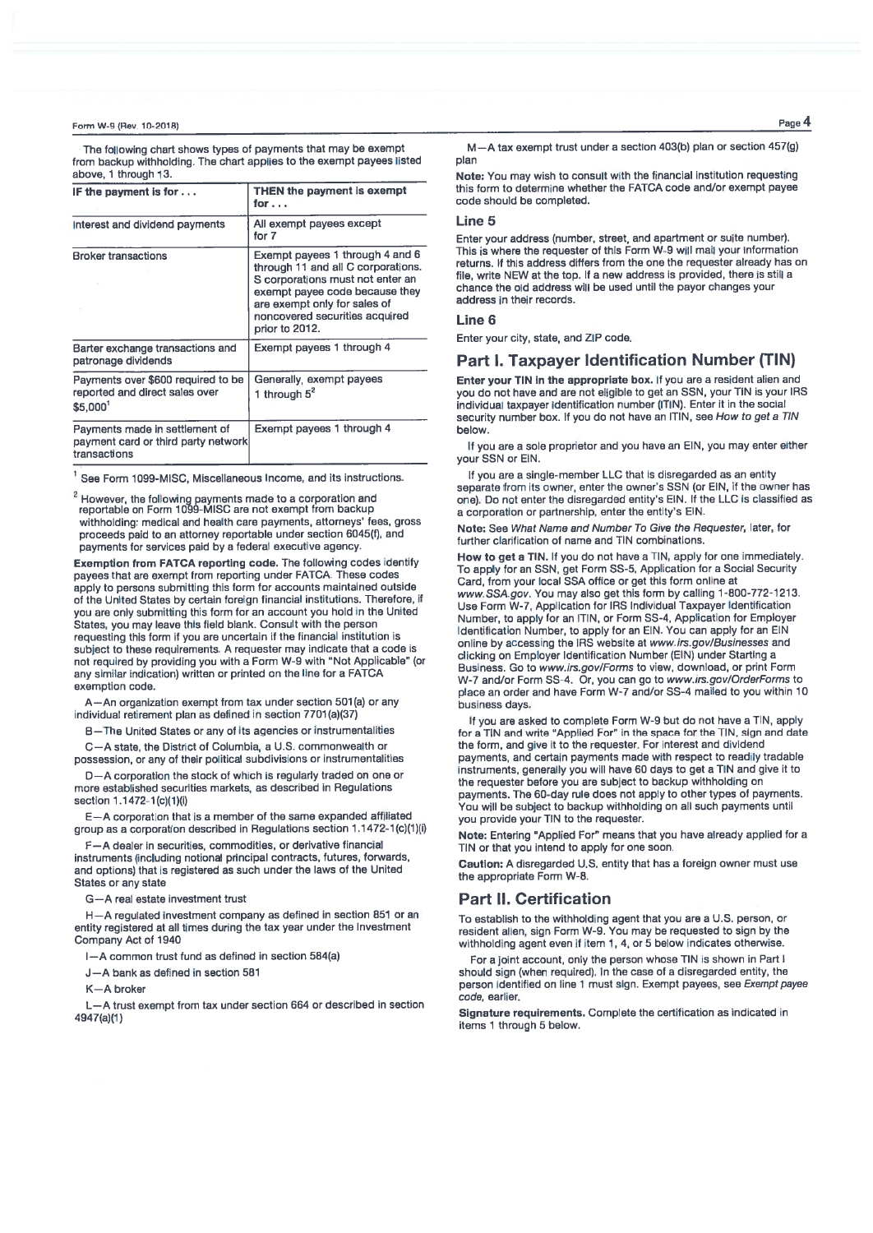The following chart shows types of payments that may be exempt from backup withholding. The chart applies to the exempt payees listed above. 1 through 13.

| IF the payment is for $\dots$                                                         | THEN the payment is exempt<br>for                                                                                                                                                                                               |  |  |  |  |  |
|---------------------------------------------------------------------------------------|---------------------------------------------------------------------------------------------------------------------------------------------------------------------------------------------------------------------------------|--|--|--|--|--|
| Interest and dividend payments                                                        | All exempt payees except<br>for 7                                                                                                                                                                                               |  |  |  |  |  |
| <b>Broker transactions</b>                                                            | Exempt payees 1 through 4 and 6<br>through 11 and all C corporations.<br>S corporations must not enter an<br>exempt payee code because they<br>are exempt only for sales of<br>noncovered securities acquired<br>prior to 2012. |  |  |  |  |  |
| Barter exchange transactions and<br>patronage dividends                               | Exempt payees 1 through 4                                                                                                                                                                                                       |  |  |  |  |  |
| Payments over \$600 required to be<br>reported and direct sales over<br>\$5,000'      | Generally, exempt payees<br>1 through $5^2$                                                                                                                                                                                     |  |  |  |  |  |
| Payments made in settlement of<br>payment card or third party network<br>transactions | Exempt payees 1 through 4                                                                                                                                                                                                       |  |  |  |  |  |

<sup>1</sup> See Form 1099-MISC, Miscellaneous Income, and its instructions.

<sup>2</sup> However, the following payments made to a corporation and reportable on Form 1099-MISC are not exempt from backup withholding: medical and health care payments, attorneys' fees, gross proceeds paid to an attorney reportable under section 6045(f), and payments for services paid by a federal executive agency.

Exemption from FATCA reporting code. The following codes identify payees that are exempt from reporting under FATCA. These codes apply to persons submitting this form for accounts maintained outside of the United States by certain foreign financial institutions. Therefore, if you are only submitting this form for an account you hold in the United States, you may leave this field blank. Consult with the person requesting this form if you are uncertain if the financial institution is subject to these requirements. A requester may indicate that a code is not required by providing you with a Form W-9 with "Not Applicable" (or any similar indication) written or printed on the line for a FATCA exemption code.

-An organization exempt from tax under section 501(a) or any individual retirement plan as defined in section 7701(a)(37)

B-The United States or any of its agencies or instrumentalities

C-A state, the District of Columbia, a U.S. commonwealth or possession, or any of their political subdivisions or instrumentalities

D-A corporation the stock of which is regularly traded on one or more established securities markets, as described in Regulations section 1.1472-1(c)(1)(i)

E-A corporation that is a member of the same expanded affiliated group as a corporation described in Regulations section 1.1472-1(c)(1)(i)

F-A dealer in securities, commodities, or derivative financial instruments (including notional principal contracts, futures, forwards, and options) that is registered as such under the laws of the United States or any state

G-A real estate investment trust

H-A regulated investment company as defined in section 851 or an entity registered at all times during the tax year under the Investment Company Act of 1940

I-A common trust fund as defined in section 584(a)

J-A bank as defined in section 581

K-A broker

L-A trust exempt from tax under section 664 or described in section 4947(a)(1)

Page 4

M-A tax exempt trust under a section 403(b) plan or section 457(g) plan

Note: You may wish to consult with the financial institution requesting this form to determine whether the FATCA code and/or exempt payee code should be completed.

### l ine 5

Enter your address (number, street, and apartment or suite number). This is where the requester of this Form W-9 will mail your information returns. If this address differs from the one the requester already has on file, write NEW at the top. If a new address is provided, there is still a chance the old address will be used until the payor changes your address in their records.

#### **Line 6**

Enter your city, state, and ZIP code.

## Part I. Taxpayer Identification Number (TIN)

Enter your TIN in the appropriate box. If you are a resident alien and you do not have and are not eligible to get an SSN, your TIN is your IRS individual taxpayer identification number (ITIN). Enter it in the social security number box. If you do not have an ITIN, see How to get a TIN helow

If you are a sole proprietor and you have an EIN, you may enter either vour SSN or FIN.

If you are a single-member LLC that is disregarded as an entity separate from its owner, enter the owner's SSN (or EIN, if the owner has one). Do not enter the disregarded entity's EIN. If the LLC is classified as a corporation or partnership, enter the entity's EIN.

Note: See What Name and Number To Give the Requester, later, for further clarification of name and TIN combinations.

How to get a TIN. If you do not have a TIN, apply for one immediately. To apply for an SSN, get Form SS-5, Application for a Social Security Card, from your local SSA office or get this form online at www.SSA.gov. You may also get this form by calling 1-800-772-1213. Use Form W-7, Application for IRS Individual Taxpayer Identification Number, to apply for an ITIN, or Form SS-4, Application for Employer Identification Number, to apply for an EIN. You can apply for an EIN online by accessing the IRS website at www.irs.gov/Businesses and clicking on Employer Identification Number (EIN) under Starting a Business. Go to www.irs.gov/Forms to view, download, or print Form W-7 and/or Form SS-4. Or, you can go to www.irs.gov/OrderForms to place an order and have Form W-7 and/or SS-4 mailed to you within 10 **business days** 

If you are asked to complete Form W-9 but do not have a TIN, apply for a TIN and write "Applied For" in the space for the TIN, sign and date the form, and give it to the requester. For interest and dividend payments, and certain payments made with respect to readily tradable instruments, generally you will have 60 days to get a TIN and give it to the requester before you are subject to backup withholding on payments. The 60-day rule does not apply to other types of payments. You will be subject to backup withholding on all such payments until vou provide your TIN to the requester.

Note: Entering "Applied For" means that you have already applied for a TIN or that you intend to apply for one soon.

Caution: A disregarded U.S. entity that has a foreign owner must use the appropriate Form W-8.

## **Part II. Certification**

To establish to the withholding agent that you are a U.S. person, or resident alien, sign Form W-9. You may be requested to sign by the withholding agent even if item 1, 4, or 5 below indicates otherwise.

For a joint account, only the person whose TIN is shown in Part I should sign (when required). In the case of a disregarded entity, the person identified on line 1 must sign. Exempt payees, see Exempt payee code, earlier.

Signature requirements. Complete the certification as indicated in items 1 through 5 below.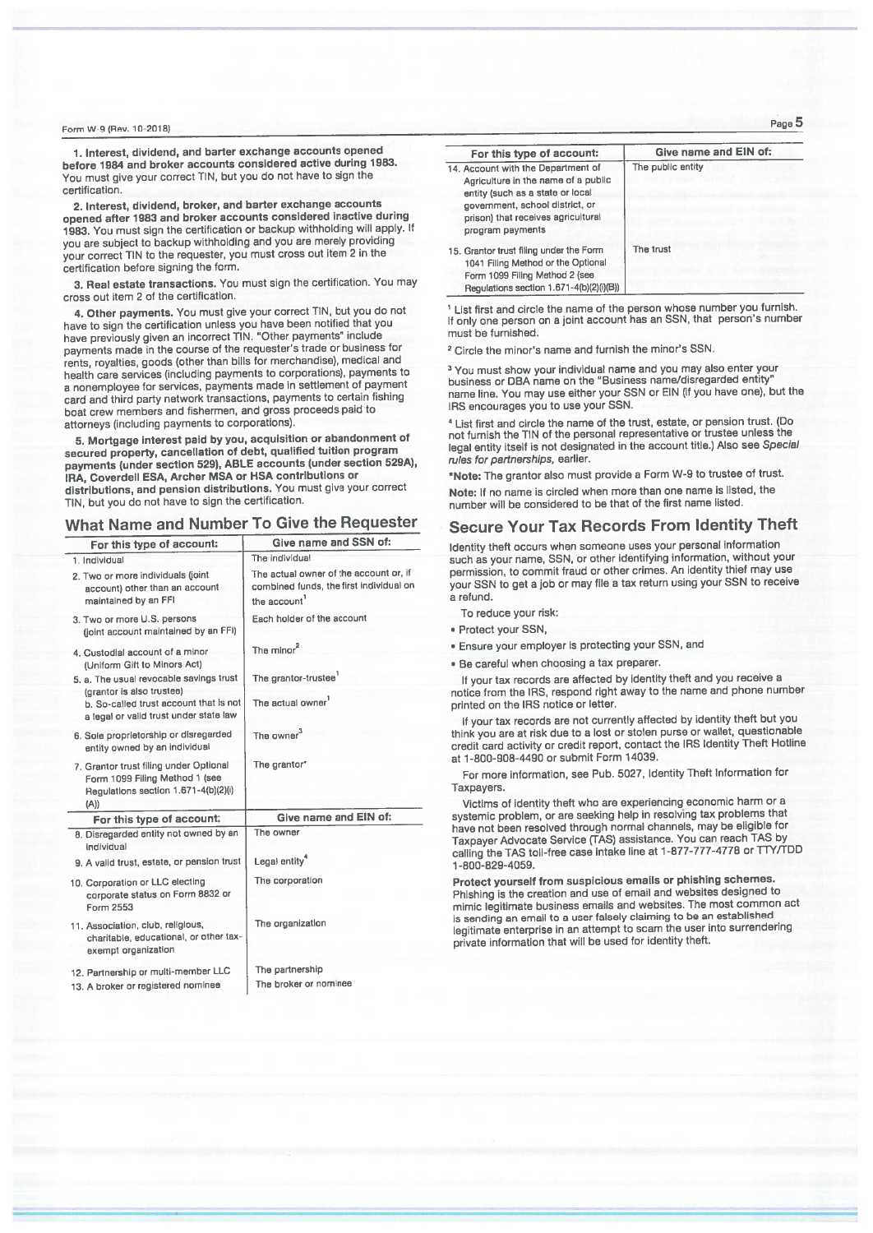1. Interest, dividend, and barter exchange accounts opened before 1984 and broker accounts considered active during 1983. You must give your correct TIN, but you do not have to sign the certification.

2. Interest, dividend, broker, and barter exchange accounts opened after 1983 and broker accounts considered inactive during 1983. You must sign the certification or backup withholding will apply. If vou are subject to backup withholding and you are merely providing your correct TIN to the requester, you must cross out item 2 in the certification before signing the form.

3. Real estate transactions. You must sign the certification. You may cross out item 2 of the certification

4. Other payments. You must give your correct TIN, but you do not have to sign the certification unless you have been notified that you have previously given an incorrect TIN. "Other payments" include payments made in the course of the requester's trade or business for rents, royalties, goods (other than bills for merchandise), medical and health care services (including payments to corporations), payments to a nonemployee for services, payments made in settlement of payment card and third party network transactions, payments to certain fishing boat crew members and fishermen, and gross proceeds paid to attorneys (including payments to corporations).

5. Mortgage interest paid by you, acquisition or abandonment of secured property, cancellation of debt, qualified tuition program payments (under section 529), ABLE accounts (under section 529A), IRA, Coverdell ESA, Archer MSA or HSA contributions or distributions, and pension distributions. You must give your correct TIN, but you do not have to sign the certification

# What Name and Number To Give the Requester

| For this type of account:                                                                                                | Give name and SSN of:                                                                            |  |  |  |  |  |
|--------------------------------------------------------------------------------------------------------------------------|--------------------------------------------------------------------------------------------------|--|--|--|--|--|
| 1. Individual                                                                                                            | The individual                                                                                   |  |  |  |  |  |
| 2. Two or more individuals (joint<br>account) other than an account<br>maintained by an FFI                              | The actual owner of the account or, if<br>combined funds, the first individual on<br>the account |  |  |  |  |  |
| 3. Two or more U.S. persons<br>(joint account maintained by an FFI)                                                      | Each holder of the account                                                                       |  |  |  |  |  |
| 4. Custodial account of a minor<br>(Uniform Gift to Minors Act)                                                          | The minor <sup>2</sup>                                                                           |  |  |  |  |  |
| 5. a. The usual revocable savings trust                                                                                  | The grantor-trustee <sup>1</sup>                                                                 |  |  |  |  |  |
| (grantor is also trustee)<br>b. So-called trust account that is not<br>a legal or valid trust under state law            | The actual owner                                                                                 |  |  |  |  |  |
| 6. Sole proprietorship or disregarded<br>entity owned by an individual                                                   | The owner <sup>3</sup>                                                                           |  |  |  |  |  |
| 7. Grantor trust filing under Optional<br>Form 1099 Filing Method 1 (see<br>Regulations section 1.671-4(b)(2)(i)<br>(A)) | The grantor*                                                                                     |  |  |  |  |  |
| For this type of account:                                                                                                | Give name and EIN of:                                                                            |  |  |  |  |  |
| 8. Disregarded entity not owned by an<br>individual                                                                      | The owner                                                                                        |  |  |  |  |  |
| 9. A valid trust, estate, or pension trust                                                                               | Legal entity <sup>4</sup>                                                                        |  |  |  |  |  |
| 10. Corporation or LLC electing<br>corporate status on Form 8832 or<br>Form 2553                                         | The corporation                                                                                  |  |  |  |  |  |
| 11. Association, club, religious,<br>charitable, educational, or other tax-<br>exempt organization                       | The organization                                                                                 |  |  |  |  |  |
| 12. Partnership or multi-member LLC<br>13. A broker or registered nominee                                                | The partnership<br>The broker or nominee                                                         |  |  |  |  |  |

| For this type of account:                                                                                                                                                                                  | Give name and EIN of: |
|------------------------------------------------------------------------------------------------------------------------------------------------------------------------------------------------------------|-----------------------|
| 14. Account with the Department of<br>Agriculture in the name of a public<br>entity (such as a state or local<br>government, school district, or<br>prison) that receives agricultural<br>program payments | The public entity     |
| 15. Grantor trust filing under the Form<br>1041 Filing Method or the Optional<br>Form 1099 Filing Method 2 (see<br>Penulations conting 1 671-4/hV2)6VBV                                                    | The trust             |

<sup>1</sup> List first and circle the name of the person whose number you furnish. If only one person on a joint account has an SSN, that person's number must be furnished.

<sup>2</sup> Circle the minor's name and furnish the minor's SSN.

<sup>3</sup> You must show your individual name and you may also enter your<br>business or DBA name on the "Business name/disregarded entity"<br>name line. You may use either your SSN or EIN (if you have one), but the IRS encourages you to use your SSN.

<sup>4</sup> List first and circle the name of the trust, estate, or pension trust. (Do not furnish the TIN of the personal representative or trustee unless the legal entity itself is not designated in the account title.) Also see Special rules for partnerships, earlier.

\*Note: The grantor also must provide a Form W-9 to trustee of trust. Note: If no name is circled when more than one name is listed, the

number will be considered to be that of the first name listed.

# **Secure Your Tax Records From Identity Theft**

Identity theft occurs when someone uses your personal information such as your name, SSN, or other identifying information, without your permission, to commit fraud or other crimes. An identity thief may use your SSN to get a job or may file a tax return using your SSN to receive a refund.

To reduce your risk:

- · Protect your SSN,
- . Ensure your employer is protecting your SSN, and
- . Be careful when choosing a tax preparer

If your tax records are affected by identity theft and you receive a notice from the IRS, respond right away to the name and phone number printed on the IRS notice or letter.

If your tax records are not currently affected by identity theft but you think you are at risk due to a lost or stolen purse or wallet, questionable credit card activity or credit report, contact the IRS Identity Theft Hotline at 1-800-908-4490 or submit Form 14039.

For more information, see Pub. 5027, Identity Theft Information for Taxpayers

Victims of identity theft who are experiencing economic harm or a systemic problem, or are seeking help in resolving tax problems that have not been resolved through normal channels, may be eligible for Taxpayer Advocate Service (TAS) assistance. You can reach TAS by calling the TAS toll-free case intake line at 1-877-777-4778 or TTY/TDD 1-800-829-4059.

Protect yourself from suspicious emails or phishing schemes. Phishing is the creation and use of email and websites designed to mimic legitimate business emails and websites. The most common act is sending an email to a user falsely claiming to be an established legitimate enterprise in an attempt to scam the user into surrendering private information that will be used for identity theft.

Page 5